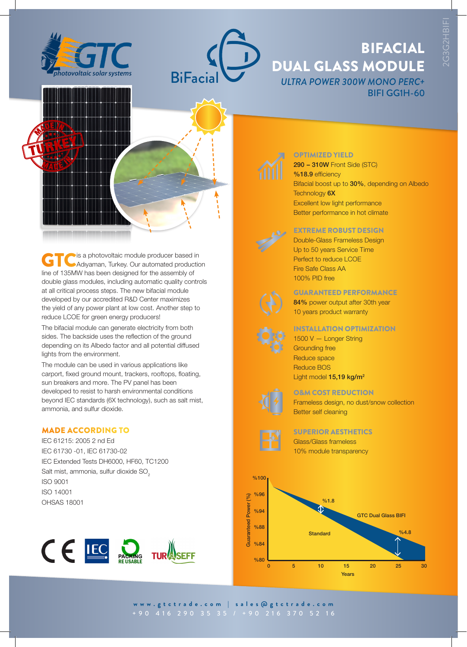



# BIFACIAL DUAL GLASS MODULE *ULTRA POWER 300W MONO PERC+* BIFI GG1H-60



GTC is a photovoltaic module producer based in<br>
Adiyaman, Turkey. Our automated production line of 135MW has been designed for the assembly of double glass modules, including automatic quality controls at all critical process steps. The new bifacial module developed by our accredited R&D Center maximizes the yield of any power plant at low cost. Another step to reduce LCOE for green energy producers!

The bifacial module can generate electricity from both sides. The backside uses the reflection of the ground depending on its Albedo factor and all potential diffused lights from the environment.

The module can be used in various applications like carport, fixed ground mount, trackers, rooftops, floating, sun breakers and more. The PV panel has been developed to resist to harsh environmental conditions beyond IEC standards (6X technology), such as salt mist, ammonia, and sulfur dioxide.

### MADE ACCORDING TO

IEC 61215: 2005 2 nd Ed IEC 61730 -01, IEC 61730-02 IEC Extended Tests DH6000, HF60, TC1200 Salt mist, ammonia, sulfur dioxide SO<sub>2</sub> ISO 9001 ISO 14001 OHSAS 18001





## OPTIMIZED YIELD

290 – 310W Front Side (STC) %18.9 efficiency Bifacial boost up to 30%, depending on Albedo Technology 6X Excellent low light performance Better performance in hot climate



## EXTREME ROBUST DESIGN

Double-Glass Frameless Design Up to 50 years Service Time Perfect to reduce LCOE Fire Safe Class AA 100% PID free



#### GUARANTEED PERFORMANCE

84% power output after 30th year 10 years product warranty

#### INSTALLATION OPTIMIZATION

1500 V — Longer String Grounding free Reduce space Reduce BOS Light model 15,19 kg/m<sup>2</sup>

#### O&M COST REDUCTION

Frameless design, no dust/snow collection Better self cleaning



SUPERIOR AESTHETICS Glass/Glass frameless 10% module transparency



**www.gtctrade.com | sales@gtctrade.com**